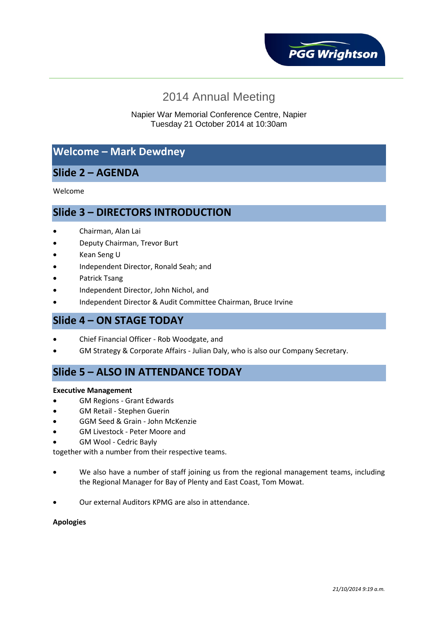

# 2014 Annual Meeting

#### Napier War Memorial Conference Centre, Napier Tuesday 21 October 2014 at 10:30am

## **Welcome – Mark Dewdney**

## **Slide 2 – AGENDA**

Welcome

#### **Slide 3 – DIRECTORS INTRODUCTION**

- Chairman, Alan Lai
- Deputy Chairman, Trevor Burt
- Kean Seng U
- Independent Director, Ronald Seah; and
- Patrick Tsang
- Independent Director, John Nichol, and
- Independent Director & Audit Committee Chairman, Bruce Irvine

#### **Slide 4 – ON STAGE TODAY**

- Chief Financial Officer Rob Woodgate, and
- GM Strategy & Corporate Affairs Julian Daly, who is also our Company Secretary.

### **Slide 5 – ALSO IN ATTENDANCE TODAY**

#### **Executive Management**

- GM Regions Grant Edwards
- GM Retail Stephen Guerin
- GGM Seed & Grain John McKenzie
- GM Livestock Peter Moore and
- GM Wool Cedric Bayly

together with a number from their respective teams.

- We also have a number of staff joining us from the regional management teams, including the Regional Manager for Bay of Plenty and East Coast, Tom Mowat.
- Our external Auditors KPMG are also in attendance.

#### **Apologies**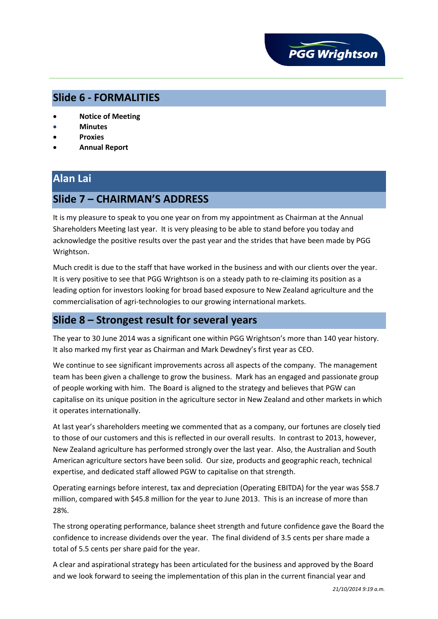

### **Slide 6 - FORMALITIES**

- **Notice of Meeting**
- **Minutes**
- **Proxies**
- **Annual Report**

# **Alan Lai**

## **Slide 7 – CHAIRMAN'S ADDRESS**

It is my pleasure to speak to you one year on from my appointment as Chairman at the Annual Shareholders Meeting last year. It is very pleasing to be able to stand before you today and acknowledge the positive results over the past year and the strides that have been made by PGG Wrightson.

Much credit is due to the staff that have worked in the business and with our clients over the year. It is very positive to see that PGG Wrightson is on a steady path to re-claiming its position as a leading option for investors looking for broad based exposure to New Zealand agriculture and the commercialisation of agri-technologies to our growing international markets.

### **Slide 8 – Strongest result for several years**

The year to 30 June 2014 was a significant one within PGG Wrightson's more than 140 year history. It also marked my first year as Chairman and Mark Dewdney's first year as CEO.

We continue to see significant improvements across all aspects of the company. The management team has been given a challenge to grow the business. Mark has an engaged and passionate group of people working with him. The Board is aligned to the strategy and believes that PGW can capitalise on its unique position in the agriculture sector in New Zealand and other markets in which it operates internationally.

At last year's shareholders meeting we commented that as a company, our fortunes are closely tied to those of our customers and this is reflected in our overall results. In contrast to 2013, however, New Zealand agriculture has performed strongly over the last year. Also, the Australian and South American agriculture sectors have been solid. Our size, products and geographic reach, technical expertise, and dedicated staff allowed PGW to capitalise on that strength.

Operating earnings before interest, tax and depreciation (Operating EBITDA) for the year was \$58.7 million, compared with \$45.8 million for the year to June 2013. This is an increase of more than 28%.

The strong operating performance, balance sheet strength and future confidence gave the Board the confidence to increase dividends over the year. The final dividend of 3.5 cents per share made a total of 5.5 cents per share paid for the year.

A clear and aspirational strategy has been articulated for the business and approved by the Board and we look forward to seeing the implementation of this plan in the current financial year and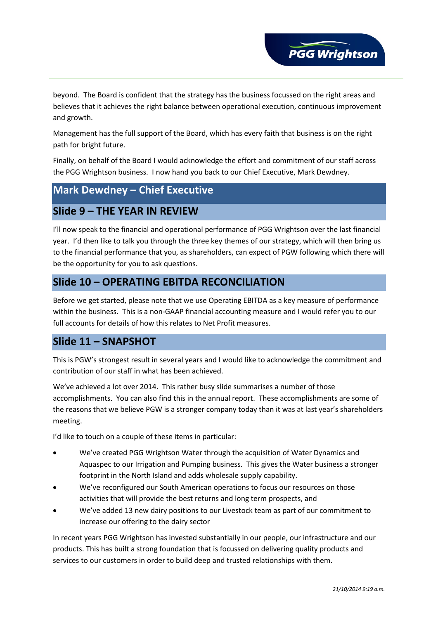

**PGG Wrightson** 

Management has the full support of the Board, which has every faith that business is on the right path for bright future.

Finally, on behalf of the Board I would acknowledge the effort and commitment of our staff across the PGG Wrightson business. I now hand you back to our Chief Executive, Mark Dewdney.

## **Mark Dewdney – Chief Executive**

### **Slide 9 – THE YEAR IN REVIEW**

I'll now speak to the financial and operational performance of PGG Wrightson over the last financial year. I'd then like to talk you through the three key themes of our strategy, which will then bring us to the financial performance that you, as shareholders, can expect of PGW following which there will be the opportunity for you to ask questions.

## **Slide 10 – OPERATING EBITDA RECONCILIATION**

Before we get started, please note that we use Operating EBITDA as a key measure of performance within the business. This is a non-GAAP financial accounting measure and I would refer you to our full accounts for details of how this relates to Net Profit measures.

### **Slide 11 – SNAPSHOT**

This is PGW's strongest result in several years and I would like to acknowledge the commitment and contribution of our staff in what has been achieved.

We've achieved a lot over 2014. This rather busy slide summarises a number of those accomplishments. You can also find this in the annual report. These accomplishments are some of the reasons that we believe PGW is a stronger company today than it was at last year's shareholders meeting.

I'd like to touch on a couple of these items in particular:

- We've created PGG Wrightson Water through the acquisition of Water Dynamics and Aquaspec to our Irrigation and Pumping business. This gives the Water business a stronger footprint in the North Island and adds wholesale supply capability.
- We've reconfigured our South American operations to focus our resources on those activities that will provide the best returns and long term prospects, and
- We've added 13 new dairy positions to our Livestock team as part of our commitment to increase our offering to the dairy sector

In recent years PGG Wrightson has invested substantially in our people, our infrastructure and our products. This has built a strong foundation that is focussed on delivering quality products and services to our customers in order to build deep and trusted relationships with them.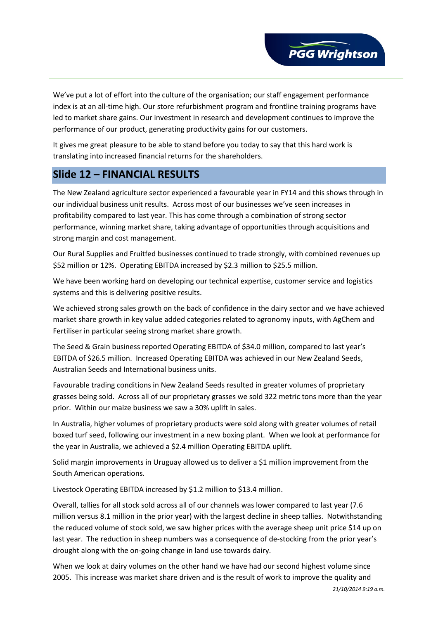

We've put a lot of effort into the culture of the organisation; our staff engagement performance index is at an all-time high. Our store refurbishment program and frontline training programs have led to market share gains. Our investment in research and development continues to improve the performance of our product, generating productivity gains for our customers.

It gives me great pleasure to be able to stand before you today to say that this hard work is translating into increased financial returns for the shareholders.

## **Slide 12 – FINANCIAL RESULTS**

The New Zealand agriculture sector experienced a favourable year in FY14 and this shows through in our individual business unit results. Across most of our businesses we've seen increases in profitability compared to last year. This has come through a combination of strong sector performance, winning market share, taking advantage of opportunities through acquisitions and strong margin and cost management.

Our Rural Supplies and Fruitfed businesses continued to trade strongly, with combined revenues up \$52 million or 12%. Operating EBITDA increased by \$2.3 million to \$25.5 million.

We have been working hard on developing our technical expertise, customer service and logistics systems and this is delivering positive results.

We achieved strong sales growth on the back of confidence in the dairy sector and we have achieved market share growth in key value added categories related to agronomy inputs, with AgChem and Fertiliser in particular seeing strong market share growth.

The Seed & Grain business reported Operating EBITDA of \$34.0 million, compared to last year's EBITDA of \$26.5 million. Increased Operating EBITDA was achieved in our New Zealand Seeds, Australian Seeds and International business units.

Favourable trading conditions in New Zealand Seeds resulted in greater volumes of proprietary grasses being sold. Across all of our proprietary grasses we sold 322 metric tons more than the year prior. Within our maize business we saw a 30% uplift in sales.

In Australia, higher volumes of proprietary products were sold along with greater volumes of retail boxed turf seed, following our investment in a new boxing plant. When we look at performance for the year in Australia, we achieved a \$2.4 million Operating EBITDA uplift.

Solid margin improvements in Uruguay allowed us to deliver a \$1 million improvement from the South American operations.

Livestock Operating EBITDA increased by \$1.2 million to \$13.4 million.

Overall, tallies for all stock sold across all of our channels was lower compared to last year (7.6 million versus 8.1 million in the prior year) with the largest decline in sheep tallies. Notwithstanding the reduced volume of stock sold, we saw higher prices with the average sheep unit price \$14 up on last year. The reduction in sheep numbers was a consequence of de-stocking from the prior year's drought along with the on-going change in land use towards dairy.

When we look at dairy volumes on the other hand we have had our second highest volume since 2005. This increase was market share driven and is the result of work to improve the quality and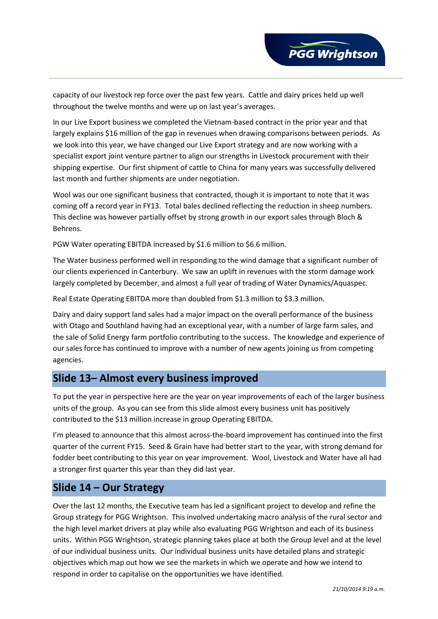capacity of our livestock rep force over the past few years. Cattle and dairy prices held up well throughout the twelve months and were up on last year's averages.

In our Live Export business we completed the Vietnam-based contract in the prior year and that largely explains \$16 million of the gap in revenues when drawing comparisons between periods. As we look into this year, we have changed our Live Export strategy and are now working with a specialist export joint venture partner to align our strengths in Livestock procurement with their shipping expertise. Our first shipment of cattle to China for many years was successfully delivered last month and further shipments are under negotiation.

Wool was our one significant business that contracted, though it is important to note that it was coming off a record year in FY13. Total bales declined reflecting the reduction in sheep numbers. This decline was however partially offset by strong growth in our export sales through Bloch & Behrens.

PGW Water operating EBITDA increased by \$1.6 million to \$6.6 million.

The Water business performed well in responding to the wind damage that a significant number of our clients experienced in Canterbury. We saw an uplift in revenues with the storm damage work largely completed by December, and almost a full year of trading of Water Dynamics/Aquaspec.

Real Estate Operating EBITDA more than doubled from \$1.3 million to \$3.3 million.

Dairy and dairy support land sales had a major impact on the overall performance of the business with Otago and Southland having had an exceptional year, with a number of large farm sales, and the sale of Solid Energy farm portfolio contributing to the success. The knowledge and experience of our sales force has continued to improve with a number of new agents joining us from competing agencies.

### **Slide 13– Almost every business improved**

To put the year in perspective here are the year on year improvements of each of the larger business units of the group. As you can see from this slide almost every business unit has positively contributed to the \$13 million increase in group Operating EBITDA.

I'm pleased to announce that this almost across-the-board improvement has continued into the first quarter of the current FY15. Seed & Grain have had better start to the year, with strong demand for fodder beet contributing to this year on year improvement. Wool, Livestock and Water have all had a stronger first quarter this year than they did last year.

### **Slide 14 – Our Strategy**

Over the last 12 months, the Executive team has led a significant project to develop and refine the Group strategy for PGG Wrightson. This involved undertaking macro analysis of the rural sector and the high level market drivers at play while also evaluating PGG Wrightson and each of its business units. Within PGG Wrightson, strategic planning takes place at both the Group level and at the level of our individual business units. Our individual business units have detailed plans and strategic objectives which map out how we see the markets in which we operate and how we intend to respond in order to capitalise on the opportunities we have identified.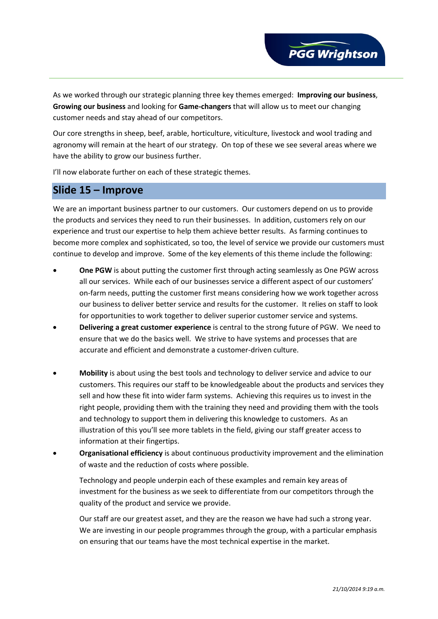

As we worked through our strategic planning three key themes emerged: **Improving our business**, **Growing our business** and looking for **Game-changers** that will allow us to meet our changing customer needs and stay ahead of our competitors.

Our core strengths in sheep, beef, arable, horticulture, viticulture, livestock and wool trading and agronomy will remain at the heart of our strategy. On top of these we see several areas where we have the ability to grow our business further.

I'll now elaborate further on each of these strategic themes.

### **Slide 15 – Improve**

We are an important business partner to our customers. Our customers depend on us to provide the products and services they need to run their businesses. In addition, customers rely on our experience and trust our expertise to help them achieve better results. As farming continues to become more complex and sophisticated, so too, the level of service we provide our customers must continue to develop and improve. Some of the key elements of this theme include the following:

- **One PGW** is about putting the customer first through acting seamlessly as One PGW across all our services. While each of our businesses service a different aspect of our customers' on-farm needs, putting the customer first means considering how we work together across our business to deliver better service and results for the customer. It relies on staff to look for opportunities to work together to deliver superior customer service and systems.
- **Delivering a great customer experience** is central to the strong future of PGW. We need to ensure that we do the basics well. We strive to have systems and processes that are accurate and efficient and demonstrate a customer-driven culture.
- **Mobility** is about using the best tools and technology to deliver service and advice to our customers. This requires our staff to be knowledgeable about the products and services they sell and how these fit into wider farm systems. Achieving this requires us to invest in the right people, providing them with the training they need and providing them with the tools and technology to support them in delivering this knowledge to customers. As an illustration of this you'll see more tablets in the field, giving our staff greater access to information at their fingertips.
- **Organisational efficiency** is about continuous productivity improvement and the elimination of waste and the reduction of costs where possible.

Technology and people underpin each of these examples and remain key areas of investment for the business as we seek to differentiate from our competitors through the quality of the product and service we provide.

Our staff are our greatest asset, and they are the reason we have had such a strong year. We are investing in our people programmes through the group, with a particular emphasis on ensuring that our teams have the most technical expertise in the market.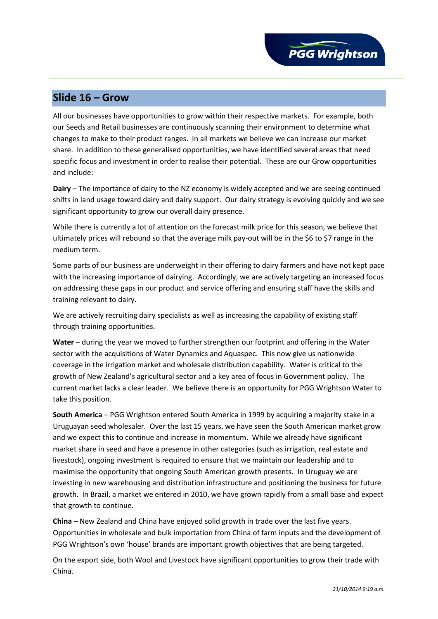### **Slide 16 – Grow**

All our businesses have opportunities to grow within their respective markets. For example, both our Seeds and Retail businesses are continuously scanning their environment to determine what changes to make to their product ranges. In all markets we believe we can increase our market share. In addition to these generalised opportunities, we have identified several areas that need specific focus and investment in order to realise their potential. These are our Grow opportunities and include:

**Dairy** – The importance of dairy to the NZ economy is widely accepted and we are seeing continued shifts in land usage toward dairy and dairy support. Our dairy strategy is evolving quickly and we see significant opportunity to grow our overall dairy presence.

While there is currently a lot of attention on the forecast milk price for this season, we believe that ultimately prices will rebound so that the average milk pay-out will be in the \$6 to \$7 range in the medium term.

Some parts of our business are underweight in their offering to dairy farmers and have not kept pace with the increasing importance of dairying. Accordingly, we are actively targeting an increased focus on addressing these gaps in our product and service offering and ensuring staff have the skills and training relevant to dairy.

We are actively recruiting dairy specialists as well as increasing the capability of existing staff through training opportunities.

**Water** – during the year we moved to further strengthen our footprint and offering in the Water sector with the acquisitions of Water Dynamics and Aquaspec. This now give us nationwide coverage in the irrigation market and wholesale distribution capability. Water is critical to the growth of New Zealand's agricultural sector and a key area of focus in Government policy. The current market lacks a clear leader. We believe there is an opportunity for PGG Wrightson Water to take this position.

**South America** – PGG Wrightson entered South America in 1999 by acquiring a majority stake in a Uruguayan seed wholesaler. Over the last 15 years, we have seen the South American market grow and we expect this to continue and increase in momentum. While we already have significant market share in seed and have a presence in other categories (such as irrigation, real estate and livestock), ongoing investment is required to ensure that we maintain our leadership and to maximise the opportunity that ongoing South American growth presents. In Uruguay we are investing in new warehousing and distribution infrastructure and positioning the business for future growth. In Brazil, a market we entered in 2010, we have grown rapidly from a small base and expect that growth to continue.

**China** – New Zealand and China have enjoyed solid growth in trade over the last five years. Opportunities in wholesale and bulk importation from China of farm inputs and the development of PGG Wrightson's own 'house' brands are important growth objectives that are being targeted.

On the export side, both Wool and Livestock have significant opportunities to grow their trade with China.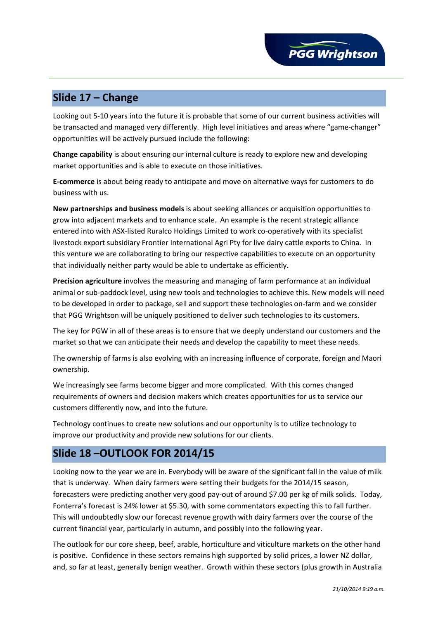# **Slide 17 – Change**

Looking out 5-10 years into the future it is probable that some of our current business activities will be transacted and managed very differently. High level initiatives and areas where "game-changer" opportunities will be actively pursued include the following:

**Change capability** is about ensuring our internal culture is ready to explore new and developing market opportunities and is able to execute on those initiatives.

**E-commerce** is about being ready to anticipate and move on alternative ways for customers to do business with us.

**New partnerships and business models** is about seeking alliances or acquisition opportunities to grow into adjacent markets and to enhance scale. An example is the recent strategic alliance entered into with ASX-listed Ruralco Holdings Limited to work co-operatively with its specialist livestock export subsidiary Frontier International Agri Pty for live dairy cattle exports to China. In this venture we are collaborating to bring our respective capabilities to execute on an opportunity that individually neither party would be able to undertake as efficiently.

**Precision agriculture** involves the measuring and managing of farm performance at an individual animal or sub-paddock level, using new tools and technologies to achieve this. New models will need to be developed in order to package, sell and support these technologies on-farm and we consider that PGG Wrightson will be uniquely positioned to deliver such technologies to its customers.

The key for PGW in all of these areas is to ensure that we deeply understand our customers and the market so that we can anticipate their needs and develop the capability to meet these needs.

The ownership of farms is also evolving with an increasing influence of corporate, foreign and Maori ownership.

We increasingly see farms become bigger and more complicated. With this comes changed requirements of owners and decision makers which creates opportunities for us to service our customers differently now, and into the future.

Technology continues to create new solutions and our opportunity is to utilize technology to improve our productivity and provide new solutions for our clients.

## **Slide 18 –OUTLOOK FOR 2014/15**

Looking now to the year we are in. Everybody will be aware of the significant fall in the value of milk that is underway. When dairy farmers were setting their budgets for the 2014/15 season, forecasters were predicting another very good pay-out of around \$7.00 per kg of milk solids. Today, Fonterra's forecast is 24% lower at \$5.30, with some commentators expecting this to fall further. This will undoubtedly slow our forecast revenue growth with dairy farmers over the course of the current financial year, particularly in autumn, and possibly into the following year.

The outlook for our core sheep, beef, arable, horticulture and viticulture markets on the other hand is positive. Confidence in these sectors remains high supported by solid prices, a lower NZ dollar, and, so far at least, generally benign weather. Growth within these sectors (plus growth in Australia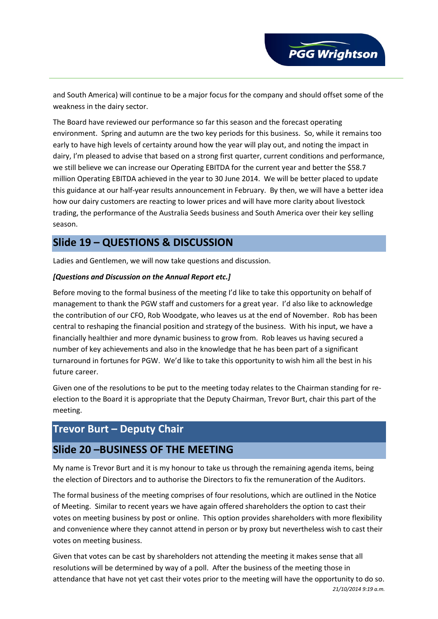and South America) will continue to be a major focus for the company and should offset some of the weakness in the dairy sector.

The Board have reviewed our performance so far this season and the forecast operating environment. Spring and autumn are the two key periods for this business. So, while it remains too early to have high levels of certainty around how the year will play out, and noting the impact in dairy, I'm pleased to advise that based on a strong first quarter, current conditions and performance, we still believe we can increase our Operating EBITDA for the current year and better the \$58.7 million Operating EBITDA achieved in the year to 30 June 2014. We will be better placed to update this guidance at our half-year results announcement in February. By then, we will have a better idea how our dairy customers are reacting to lower prices and will have more clarity about livestock trading, the performance of the Australia Seeds business and South America over their key selling season.

## **Slide 19 – QUESTIONS & DISCUSSION**

Ladies and Gentlemen, we will now take questions and discussion.

#### *[Questions and Discussion on the Annual Report etc.]*

Before moving to the formal business of the meeting I'd like to take this opportunity on behalf of management to thank the PGW staff and customers for a great year. I'd also like to acknowledge the contribution of our CFO, Rob Woodgate, who leaves us at the end of November. Rob has been central to reshaping the financial position and strategy of the business. With his input, we have a financially healthier and more dynamic business to grow from. Rob leaves us having secured a number of key achievements and also in the knowledge that he has been part of a significant turnaround in fortunes for PGW. We'd like to take this opportunity to wish him all the best in his future career.

Given one of the resolutions to be put to the meeting today relates to the Chairman standing for reelection to the Board it is appropriate that the Deputy Chairman, Trevor Burt, chair this part of the meeting.

# **Trevor Burt – Deputy Chair**

## **Slide 20 –BUSINESS OF THE MEETING**

My name is Trevor Burt and it is my honour to take us through the remaining agenda items, being the election of Directors and to authorise the Directors to fix the remuneration of the Auditors.

The formal business of the meeting comprises of four resolutions, which are outlined in the Notice of Meeting. Similar to recent years we have again offered shareholders the option to cast their votes on meeting business by post or online. This option provides shareholders with more flexibility and convenience where they cannot attend in person or by proxy but nevertheless wish to cast their votes on meeting business.

Given that votes can be cast by shareholders not attending the meeting it makes sense that all resolutions will be determined by way of a poll. After the business of the meeting those in attendance that have not yet cast their votes prior to the meeting will have the opportunity to do so. *21/10/2014 9:19 a.m.*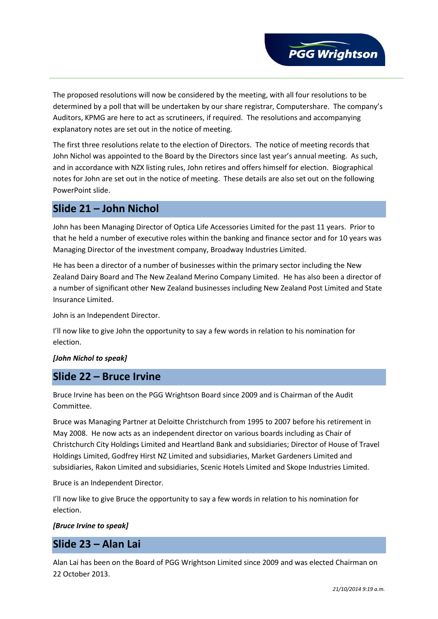

The proposed resolutions will now be considered by the meeting, with all four resolutions to be determined by a poll that will be undertaken by our share registrar, Computershare. The company's Auditors, KPMG are here to act as scrutineers, if required. The resolutions and accompanying explanatory notes are set out in the notice of meeting.

The first three resolutions relate to the election of Directors. The notice of meeting records that John Nichol was appointed to the Board by the Directors since last year's annual meeting. As such, and in accordance with NZX listing rules, John retires and offers himself for election. Biographical notes for John are set out in the notice of meeting. These details are also set out on the following PowerPoint slide.

### **Slide 21 – John Nichol**

John has been Managing Director of Optica Life Accessories Limited for the past 11 years. Prior to that he held a number of executive roles within the banking and finance sector and for 10 years was Managing Director of the investment company, Broadway Industries Limited.

He has been a director of a number of businesses within the primary sector including the New Zealand Dairy Board and The New Zealand Merino Company Limited. He has also been a director of a number of significant other New Zealand businesses including New Zealand Post Limited and State Insurance Limited.

John is an Independent Director.

I'll now like to give John the opportunity to say a few words in relation to his nomination for election.

#### *[John Nichol to speak]*

### **Slide 22 – Bruce Irvine**

Bruce Irvine has been on the PGG Wrightson Board since 2009 and is Chairman of the Audit Committee.

Bruce was Managing Partner at Deloitte Christchurch from 1995 to 2007 before his retirement in May 2008. He now acts as an independent director on various boards including as Chair of Christchurch City Holdings Limited and Heartland Bank and subsidiaries; Director of House of Travel Holdings Limited, Godfrey Hirst NZ Limited and subsidiaries, Market Gardeners Limited and subsidiaries, Rakon Limited and subsidiaries, Scenic Hotels Limited and Skope Industries Limited.

Bruce is an Independent Director.

I'll now like to give Bruce the opportunity to say a few words in relation to his nomination for election.

#### *[Bruce Irvine to speak]*

### **Slide 23 – Alan Lai**

Alan Lai has been on the Board of PGG Wrightson Limited since 2009 and was elected Chairman on 22 October 2013.